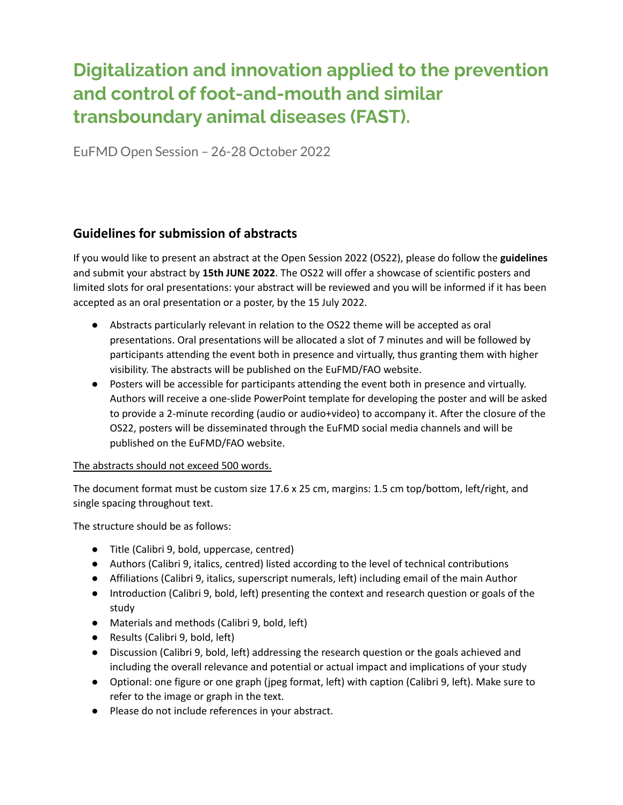## **Digitalization and innovation applied to the prevention and control of foot-and-mouth and similar transboundary animal diseases (FAST).**

EuFMD Open Session – 26-28 October 2022

## **Guidelines for submission of abstracts**

If you would like to present an abstract at the Open Session 2022 (OS22), please do follow the **guidelines** and submit your abstract by **15th JUNE 2022**. The OS22 will offer a showcase of scientific posters and limited slots for oral presentations: your abstract will be reviewed and you will be informed if it has been accepted as an oral presentation or a poster, by the 15 July 2022.

- Abstracts particularly relevant in relation to the OS22 theme will be accepted as oral presentations. Oral presentations will be allocated a slot of 7 minutes and will be followed by participants attending the event both in presence and virtually, thus granting them with higher visibility. The abstracts will be published on the EuFMD/FAO website.
- Posters will be accessible for participants attending the event both in presence and virtually. Authors will receive a one-slide PowerPoint template for developing the poster and will be asked to provide a 2-minute recording (audio or audio+video) to accompany it. After the closure of the OS22, posters will be disseminated through the EuFMD social media channels and will be published on the EuFMD/FAO website.

## The abstracts should not exceed 500 words.

The document format must be custom size 17.6 x 25 cm, margins: 1.5 cm top/bottom, left/right, and single spacing throughout text.

The structure should be as follows:

- Title (Calibri 9, bold, uppercase, centred)
- Authors (Calibri 9, italics, centred) listed according to the level of technical contributions
- Affiliations (Calibri 9, italics, superscript numerals, left) including email of the main Author
- Introduction (Calibri 9, bold, left) presenting the context and research question or goals of the study
- Materials and methods (Calibri 9, bold, left)
- Results (Calibri 9, bold, left)
- Discussion (Calibri 9, bold, left) addressing the research question or the goals achieved and including the overall relevance and potential or actual impact and implications of your study
- Optional: one figure or one graph (jpeg format, left) with caption (Calibri 9, left). Make sure to refer to the image or graph in the text.
- Please do not include references in your abstract.